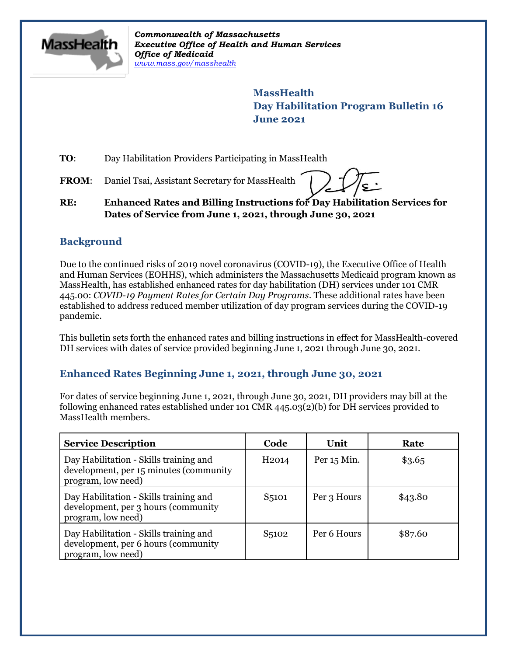

*Commonwealth of Massachusetts Executive Office of Health and Human Services Office of Medicaid [www.mass.gov/masshealth](http://www.mass.gov/masshealth)*

> **MassHealth Day Habilitation Program Bulletin 16 June 2021**

**TO:** Day Habilitation Providers Participating in MassHealth

FROM: Daniel Tsai, Assistant Secretary for MassHealth

**RE: Enhanced Rates and Billing Instructions for Day Habilitation Services for Dates of Service from June 1, 2021, through June 30, 2021**

### **Background**

Due to the continued risks of 2019 novel coronavirus (COVID-19), the Executive Office of Health and Human Services (EOHHS), which administers the Massachusetts Medicaid program known as MassHealth, has established enhanced rates for day habilitation (DH) services under 101 CMR 445.00: *COVID-19 Payment Rates for Certain Day Programs*. These additional rates have been established to address reduced member utilization of day program services during the COVID-19 pandemic.

This bulletin sets forth the enhanced rates and billing instructions in effect for MassHealth-covered DH services with dates of service provided beginning June 1, 2021 through June 30, 2021.

### **Enhanced Rates Beginning June 1, 2021, through June 30, 2021**

For dates of service beginning June 1, 2021, through June 30, 2021, DH providers may bill at the following enhanced rates established under 101 CMR 445.03(2)(b) for DH services provided to MassHealth members.

| <b>Service Description</b>                                                                             | Code               | Unit        | Rate    |
|--------------------------------------------------------------------------------------------------------|--------------------|-------------|---------|
| Day Habilitation - Skills training and<br>development, per 15 minutes (community<br>program, low need) | H <sub>2014</sub>  | Per 15 Min. | \$3.65  |
| Day Habilitation - Skills training and<br>development, per 3 hours (community<br>program, low need)    | S <sub>5</sub> 101 | Per 3 Hours | \$43.80 |
| Day Habilitation - Skills training and<br>development, per 6 hours (community<br>program, low need)    | S <sub>5</sub> 102 | Per 6 Hours | \$87.60 |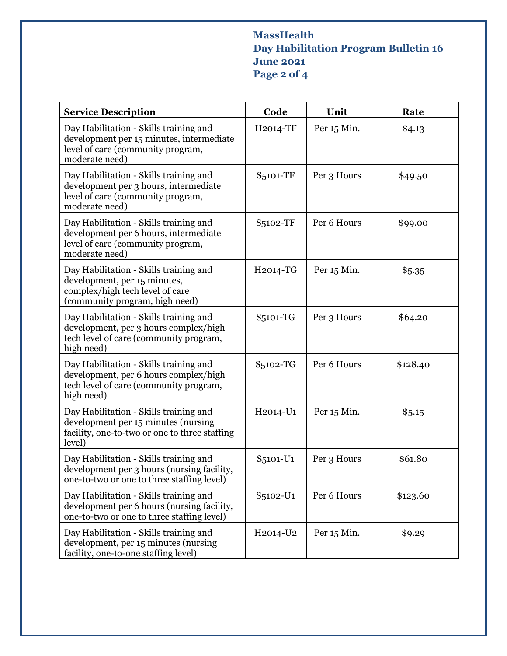# **MassHealth Day Habilitation Program Bulletin 16 June 2021 Page 2 of 4**

| <b>Service Description</b>                                                                                                                  | Code                              | Unit        | Rate     |
|---------------------------------------------------------------------------------------------------------------------------------------------|-----------------------------------|-------------|----------|
| Day Habilitation - Skills training and<br>development per 15 minutes, intermediate<br>level of care (community program,<br>moderate need)   | H2014-TF                          | Per 15 Min. | \$4.13   |
| Day Habilitation - Skills training and<br>development per 3 hours, intermediate<br>level of care (community program,<br>moderate need)      | S5101-TF                          | Per 3 Hours | \$49.50  |
| Day Habilitation - Skills training and<br>development per 6 hours, intermediate<br>level of care (community program,<br>moderate need)      | S5102-TF                          | Per 6 Hours | \$99.00  |
| Day Habilitation - Skills training and<br>development, per 15 minutes,<br>complex/high tech level of care<br>(community program, high need) | H2014-TG                          | Per 15 Min. | \$5.35   |
| Day Habilitation - Skills training and<br>development, per 3 hours complex/high<br>tech level of care (community program,<br>high need)     | S5101-TG                          | Per 3 Hours | \$64.20  |
| Day Habilitation - Skills training and<br>development, per 6 hours complex/high<br>tech level of care (community program,<br>high need)     | S5102-TG                          | Per 6 Hours | \$128.40 |
| Day Habilitation - Skills training and<br>development per 15 minutes (nursing<br>facility, one-to-two or one to three staffing<br>level)    | H2014-U1                          | Per 15 Min. | \$5.15   |
| Day Habilitation - Skills training and<br>development per 3 hours (nursing facility,<br>one-to-two or one to three staffing level)          | S5101-U1                          | Per 3 Hours | \$61.80  |
| Day Habilitation - Skills training and<br>development per 6 hours (nursing facility,<br>one-to-two or one to three staffing level)          | S5102-U1                          | Per 6 Hours | \$123.60 |
| Day Habilitation - Skills training and<br>development, per 15 minutes (nursing<br>facility, one-to-one staffing level)                      | H <sub>2014</sub> -U <sub>2</sub> | Per 15 Min. | \$9.29   |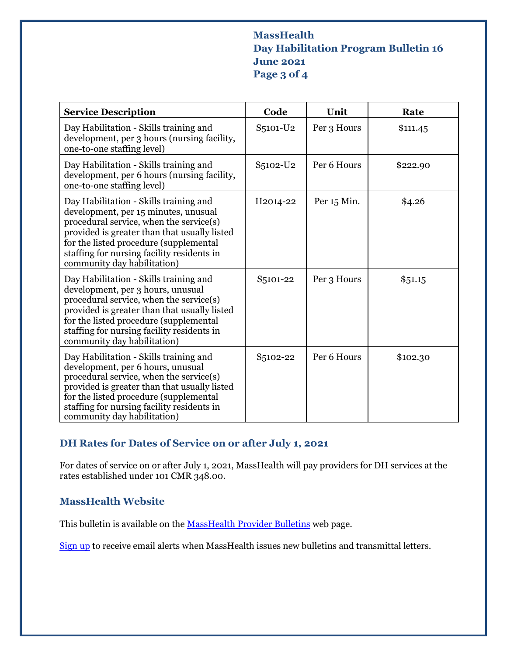### **MassHealth Day Habilitation Program Bulletin 16 June 2021 Page 3 of 4**

| <b>Service Description</b>                                                                                                                                                                                                                                                                       | Code                  | Unit        | Rate     |
|--------------------------------------------------------------------------------------------------------------------------------------------------------------------------------------------------------------------------------------------------------------------------------------------------|-----------------------|-------------|----------|
| Day Habilitation - Skills training and<br>development, per 3 hours (nursing facility,<br>one-to-one staffing level)                                                                                                                                                                              | S5101-U2              | Per 3 Hours | \$111.45 |
| Day Habilitation - Skills training and<br>development, per 6 hours (nursing facility,<br>one-to-one staffing level)                                                                                                                                                                              | S5102-U2              | Per 6 Hours | \$222.90 |
| Day Habilitation - Skills training and<br>development, per 15 minutes, unusual<br>procedural service, when the service(s)<br>provided is greater than that usually listed<br>for the listed procedure (supplemental<br>staffing for nursing facility residents in<br>community day habilitation) | H <sub>2014</sub> -22 | Per 15 Min. | \$4.26   |
| Day Habilitation - Skills training and<br>development, per 3 hours, unusual<br>procedural service, when the service(s)<br>provided is greater than that usually listed<br>for the listed procedure (supplemental<br>staffing for nursing facility residents in<br>community day habilitation)    | S <sub>5</sub> 101-22 | Per 3 Hours | \$51.15  |
| Day Habilitation - Skills training and<br>development, per 6 hours, unusual<br>procedural service, when the service(s)<br>provided is greater than that usually listed<br>for the listed procedure (supplemental<br>staffing for nursing facility residents in<br>community day habilitation)    | S5102-22              | Per 6 Hours | \$102.30 |

## **DH Rates for Dates of Service on or after July 1, 2021**

For dates of service on or after July 1, 2021, MassHealth will pay providers for DH services at the rates established under 101 CMR 348.00.

#### **MassHealth Website**

This bulletin is available on th[e MassHealth Provider Bulletins](http://www.mass.gov/masshealth-provider-bulletins) web page.

[Sign up](https://www.mass.gov/forms/email-notifications-for-masshealth-provider-bulletins-and-transmittal-letters) to receive email alerts when MassHealth issues new bulletins and transmittal letters.